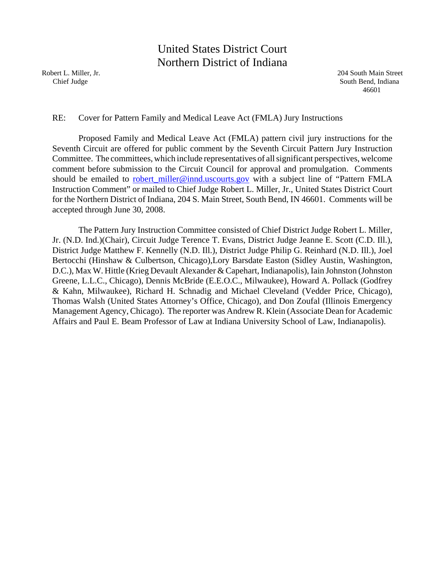# United States District Court Northern District of Indiana

Robert L. Miller, Jr. 204 South Main Street Chief Judge South Bend, Indiana 46601

#### RE: Cover for Pattern Family and Medical Leave Act (FMLA) Jury Instructions

Proposed Family and Medical Leave Act (FMLA) pattern civil jury instructions for the Seventh Circuit are offered for public comment by the Seventh Circuit Pattern Jury Instruction Committee. The committees, which include representatives of all significant perspectives, welcome comment before submission to the Circuit Council for approval and promulgation. Comments should be emailed to **robert\_miller@innd.uscourts.gov** with a subject line of "Pattern FMLA Instruction Comment" or mailed to Chief Judge Robert L. Miller, Jr., United States District Court for the Northern District of Indiana, 204 S. Main Street, South Bend, IN 46601. Comments will be accepted through June 30, 2008.

The Pattern Jury Instruction Committee consisted of Chief District Judge Robert L. Miller, Jr. (N.D. Ind.)(Chair), Circuit Judge Terence T. Evans, District Judge Jeanne E. Scott (C.D. Ill.), District Judge Matthew F. Kennelly (N.D. Ill.), District Judge Philip G. Reinhard (N.D. Ill.), Joel Bertocchi (Hinshaw & Culbertson, Chicago),Lory Barsdate Easton (Sidley Austin, Washington, D.C.), Max W. Hittle (Krieg Devault Alexander & Capehart, Indianapolis), Iain Johnston (Johnston Greene, L.L.C., Chicago), Dennis McBride (E.E.O.C., Milwaukee), Howard A. Pollack (Godfrey & Kahn, Milwaukee), Richard H. Schnadig and Michael Cleveland (Vedder Price, Chicago), Thomas Walsh (United States Attorney's Office, Chicago), and Don Zoufal (Illinois Emergency Management Agency, Chicago). The reporter was Andrew R. Klein (Associate Dean for Academic Affairs and Paul E. Beam Professor of Law at Indiana University School of Law, Indianapolis).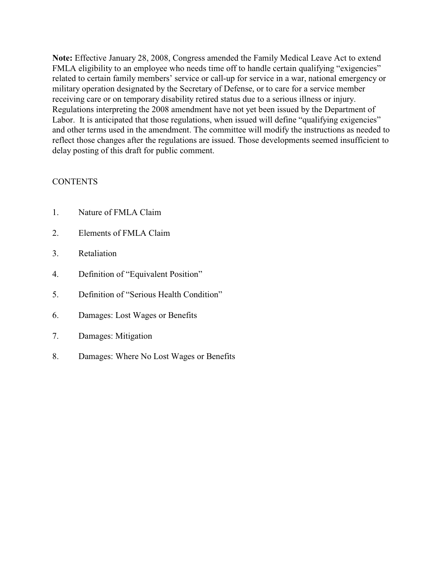**Note:** Effective January 28, 2008, Congress amended the Family Medical Leave Act to extend FMLA eligibility to an employee who needs time off to handle certain qualifying "exigencies" related to certain family members' service or call-up for service in a war, national emergency or military operation designated by the Secretary of Defense, or to care for a service member receiving care or on temporary disability retired status due to a serious illness or injury. Regulations interpreting the 2008 amendment have not yet been issued by the Department of Labor. It is anticipated that those regulations, when issued will define "qualifying exigencies" and other terms used in the amendment. The committee will modify the instructions as needed to reflect those changes after the regulations are issued. Those developments seemed insufficient to delay posting of this draft for public comment.

#### **CONTENTS**

- 1. Nature of FMLA Claim
- 2. Elements of FMLA Claim
- 3. Retaliation
- 4. Definition of "Equivalent Position"
- 5. Definition of "Serious Health Condition"
- 6. Damages: Lost Wages or Benefits
- 7. Damages: Mitigation
- 8. Damages: Where No Lost Wages or Benefits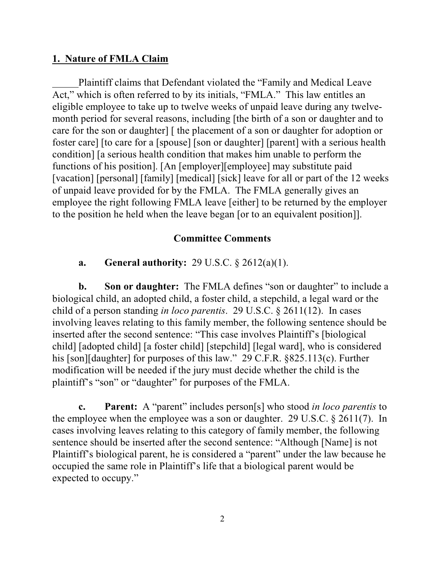### **1. Nature of FMLA Claim**

Plaintiff claims that Defendant violated the "Family and Medical Leave Act," which is often referred to by its initials, "FMLA." This law entitles an eligible employee to take up to twelve weeks of unpaid leave during any twelvemonth period for several reasons, including [the birth of a son or daughter and to care for the son or daughter] [ the placement of a son or daughter for adoption or foster care] [to care for a [spouse] [son or daughter] [parent] with a serious health condition] [a serious health condition that makes him unable to perform the functions of his position]. [An [employer][employee] may substitute paid [vacation] [personal] [family] [medical] [sick] leave for all or part of the 12 weeks of unpaid leave provided for by the FMLA. The FMLA generally gives an employee the right following FMLA leave [either] to be returned by the employer to the position he held when the leave began [or to an equivalent position]].

#### **Committee Comments**

**a. General authority:** 29 U.S.C. § 2612(a)(1).

**b.** Son or daughter: The FMLA defines "son or daughter" to include a biological child, an adopted child, a foster child, a stepchild, a legal ward or the child of a person standing *in loco parentis*. 29 U.S.C. § 2611(12). In cases involving leaves relating to this family member, the following sentence should be inserted after the second sentence: "This case involves Plaintiff's [biological child] [adopted child] [a foster child] [stepchild] [legal ward], who is considered his [son][daughter] for purposes of this law." 29 C.F.R. §825.113(c). Further modification will be needed if the jury must decide whether the child is the plaintiff's "son" or "daughter" for purposes of the FMLA.

**c. Parent:** A "parent" includes person[s] who stood *in loco parentis* to the employee when the employee was a son or daughter. 29 U.S.C. § 2611(7). In cases involving leaves relating to this category of family member, the following sentence should be inserted after the second sentence: "Although [Name] is not Plaintiff's biological parent, he is considered a "parent" under the law because he occupied the same role in Plaintiff's life that a biological parent would be expected to occupy."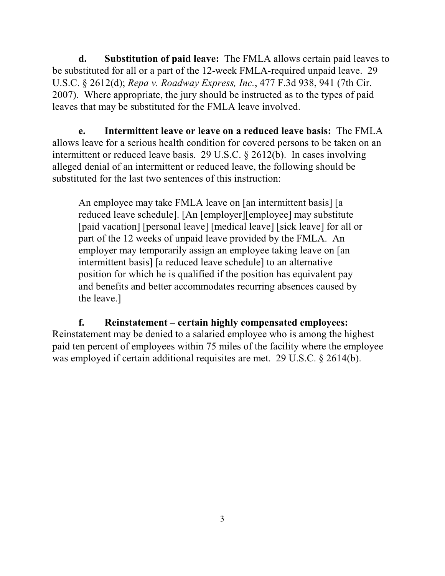**d. Substitution of paid leave:** The FMLA allows certain paid leaves to be substituted for all or a part of the 12-week FMLA-required unpaid leave. 29 U.S.C. § 2612(d); *Repa v. Roadway Express, Inc.*, 477 F.3d 938, 941 (7th Cir. 2007). Where appropriate, the jury should be instructed as to the types of paid leaves that may be substituted for the FMLA leave involved.

**e. Intermittent leave or leave on a reduced leave basis:** The FMLA allows leave for a serious health condition for covered persons to be taken on an intermittent or reduced leave basis. 29 U.S.C. § 2612(b). In cases involving alleged denial of an intermittent or reduced leave, the following should be substituted for the last two sentences of this instruction:

An employee may take FMLA leave on [an intermittent basis] [a reduced leave schedule]. [An [employer][employee] may substitute [paid vacation] [personal leave] [medical leave] [sick leave] for all or part of the 12 weeks of unpaid leave provided by the FMLA. An employer may temporarily assign an employee taking leave on [an intermittent basis] [a reduced leave schedule] to an alternative position for which he is qualified if the position has equivalent pay and benefits and better accommodates recurring absences caused by the leave.]

**f. Reinstatement – certain highly compensated employees:**  Reinstatement may be denied to a salaried employee who is among the highest paid ten percent of employees within 75 miles of the facility where the employee was employed if certain additional requisites are met. 29 U.S.C. § 2614(b).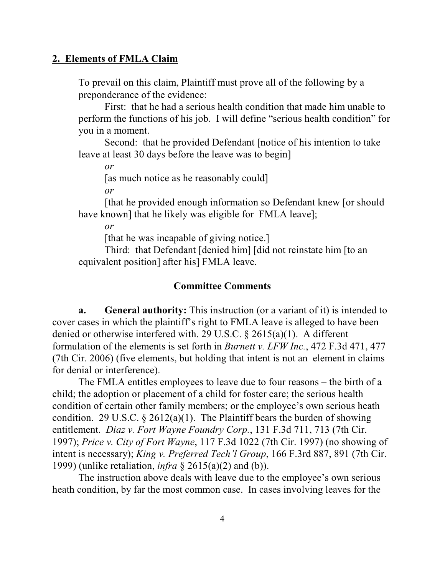#### **2. Elements of FMLA Claim**

To prevail on this claim, Plaintiff must prove all of the following by a preponderance of the evidence:

First: that he had a serious health condition that made him unable to perform the functions of his job. I will define "serious health condition" for you in a moment.

Second: that he provided Defendant [notice of his intention to take leave at least 30 days before the leave was to begin]

*or*

[as much notice as he reasonably could]

*or* 

[that he provided enough information so Defendant knew [or should have known] that he likely was eligible for FMLA leave];

*or*

[that he was incapable of giving notice.]

Third: that Defendant [denied him] [did not reinstate him [to an equivalent position] after his] FMLA leave.

#### **Committee Comments**

**a. General authority:** This instruction (or a variant of it) is intended to cover cases in which the plaintiff's right to FMLA leave is alleged to have been denied or otherwise interfered with. 29 U.S.C. § 2615(a)(1). A different formulation of the elements is set forth in *Burnett v. LFW Inc.*, 472 F.3d 471, 477 (7th Cir. 2006) (five elements, but holding that intent is not an element in claims for denial or interference).

The FMLA entitles employees to leave due to four reasons – the birth of a child; the adoption or placement of a child for foster care; the serious health condition of certain other family members; or the employee's own serious heath condition. 29 U.S.C.  $\S 2612(a)(1)$ . The Plaintiff bears the burden of showing entitlement. *Diaz v. Fort Wayne Foundry Corp.*, 131 F.3d 711, 713 (7th Cir. 1997); *Price v. City of Fort Wayne*, 117 F.3d 1022 (7th Cir. 1997) (no showing of intent is necessary); *King v. Preferred Tech'l Group*, 166 F.3rd 887, 891 (7th Cir. 1999) (unlike retaliation, *infra* § 2615(a)(2) and (b)).

The instruction above deals with leave due to the employee's own serious heath condition, by far the most common case. In cases involving leaves for the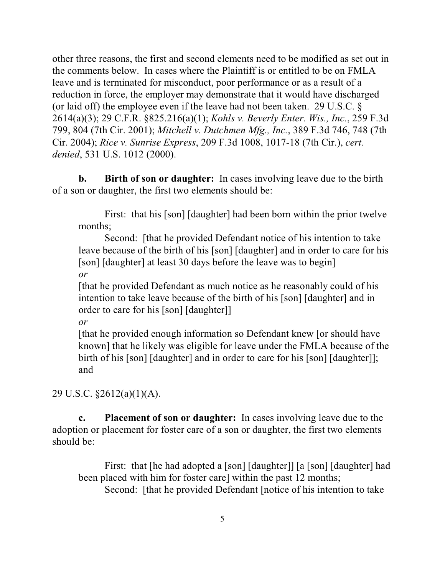other three reasons, the first and second elements need to be modified as set out in the comments below. In cases where the Plaintiff is or entitled to be on FMLA leave and is terminated for misconduct, poor performance or as a result of a reduction in force, the employer may demonstrate that it would have discharged (or laid off) the employee even if the leave had not been taken. 29 U.S.C. § 2614(a)(3); 29 C.F.R. §825.216(a)(1); *Kohls v. Beverly Enter. Wis., Inc.*, 259 F.3d 799, 804 (7th Cir. 2001); *Mitchell v. Dutchmen Mfg., Inc.*, 389 F.3d 746, 748 (7th Cir. 2004); *Rice v. Sunrise Express*, 209 F.3d 1008, 1017-18 (7th Cir.), *cert. denied*, 531 U.S. 1012 (2000).

**b. Birth of son or daughter:** In cases involving leave due to the birth of a son or daughter, the first two elements should be:

First: that his [son] [daughter] had been born within the prior twelve months;

Second: [that he provided Defendant notice of his intention to take leave because of the birth of his [son] [daughter] and in order to care for his [son] [daughter] at least 30 days before the leave was to begin] *or*

[that he provided Defendant as much notice as he reasonably could of his intention to take leave because of the birth of his [son] [daughter] and in order to care for his [son] [daughter]]

*or*

[that he provided enough information so Defendant knew [or should have known] that he likely was eligible for leave under the FMLA because of the birth of his [son] [daughter] and in order to care for his [son] [daughter]]; and

29 U.S.C. §2612(a)(1)(A).

**c. Placement of son or daughter:** In cases involving leave due to the adoption or placement for foster care of a son or daughter, the first two elements should be:

First: that [he had adopted a [son] [daughter]] [a [son] [daughter] had been placed with him for foster care] within the past 12 months; Second: [that he provided Defendant [notice of his intention to take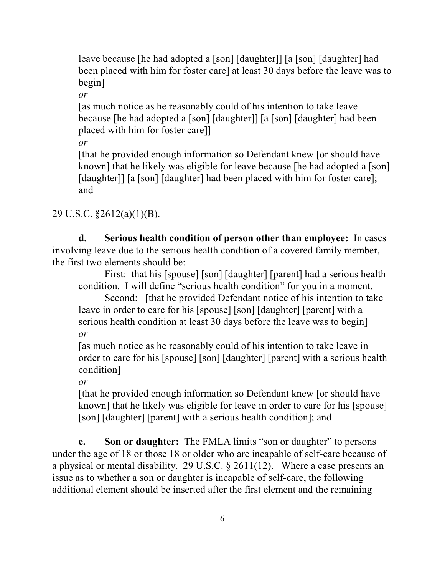leave because [he had adopted a [son] [daughter]] [a [son] [daughter] had been placed with him for foster care] at least 30 days before the leave was to begin]

*or*

[as much notice as he reasonably could of his intention to take leave because [he had adopted a [son] [daughter]] [a [son] [daughter] had been placed with him for foster care]]

*or*

[that he provided enough information so Defendant knew [or should have known] that he likely was eligible for leave because [he had adopted a [son] [daughter]] [a [son] [daughter] had been placed with him for foster care]; and

29 U.S.C. §2612(a)(1)(B).

**d. Serious health condition of person other than employee:** In cases involving leave due to the serious health condition of a covered family member, the first two elements should be:

First: that his [spouse] [son] [daughter] [parent] had a serious health condition. I will define "serious health condition" for you in a moment.

Second: [that he provided Defendant notice of his intention to take] leave in order to care for his [spouse] [son] [daughter] [parent] with a serious health condition at least 30 days before the leave was to begin] *or*

[as much notice as he reasonably could of his intention to take leave in order to care for his [spouse] [son] [daughter] [parent] with a serious health condition]

*or*

[that he provided enough information so Defendant knew [or should have known] that he likely was eligible for leave in order to care for his [spouse] [son] [daughter] [parent] with a serious health condition]; and

**e. Son or daughter:** The FMLA limits "son or daughter" to persons under the age of 18 or those 18 or older who are incapable of self-care because of a physical or mental disability. 29 U.S.C. § 2611(12). Where a case presents an issue as to whether a son or daughter is incapable of self-care, the following additional element should be inserted after the first element and the remaining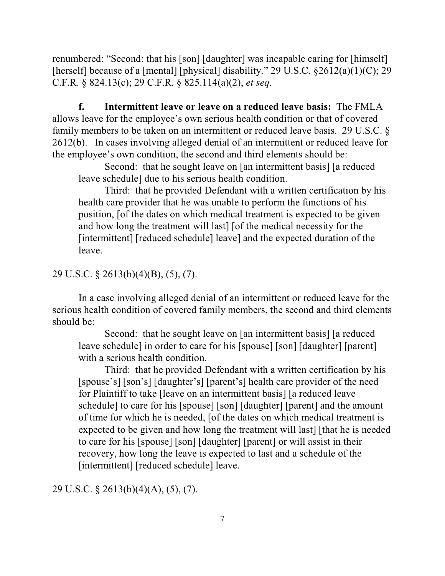renumbered: "Second: that his [son] [daughter] was incapable caring for [himself] [herself] because of a [mental] [physical] disability." 29 U.S.C. §2612(a)(1)(C); 29 C.F.R. § 824.13(c); 29 C.F.R. § 825.114(a)(2), *et seq.*

**f. Intermittent leave or leave on a reduced leave basis:** The FMLA allows leave for the employee's own serious health condition or that of covered family members to be taken on an intermittent or reduced leave basis. 29 U.S.C. § 2612(b). In cases involving alleged denial of an intermittent or reduced leave for the employee's own condition, the second and third elements should be:

Second: that he sought leave on [an intermittent basis] [a reduced leave schedule] due to his serious health condition.

Third: that he provided Defendant with a written certification by his health care provider that he was unable to perform the functions of his position, [of the dates on which medical treatment is expected to be given and how long the treatment will last] [of the medical necessity for the [intermittent] [reduced schedule] leave] and the expected duration of the leave.

## 29 U.S.C. § 2613(b)(4)(B), (5), (7).

In a case involving alleged denial of an intermittent or reduced leave for the serious health condition of covered family members, the second and third elements should be:

Second: that he sought leave on [an intermittent basis] [a reduced leave schedule] in order to care for his [spouse] [son] [daughter] [parent] with a serious health condition.

Third: that he provided Defendant with a written certification by his [spouse's] [son's] [daughter's] [parent's] health care provider of the need for Plaintiff to take [leave on an intermittent basis] [a reduced leave schedule] to care for his [spouse] [son] [daughter] [parent] and the amount of time for which he is needed, [of the dates on which medical treatment is expected to be given and how long the treatment will last] [that he is needed to care for his [spouse] [son] [daughter] [parent] or will assist in their recovery, how long the leave is expected to last and a schedule of the [intermittent] [reduced schedule] leave.

29 U.S.C. § 2613(b)(4)(A), (5), (7).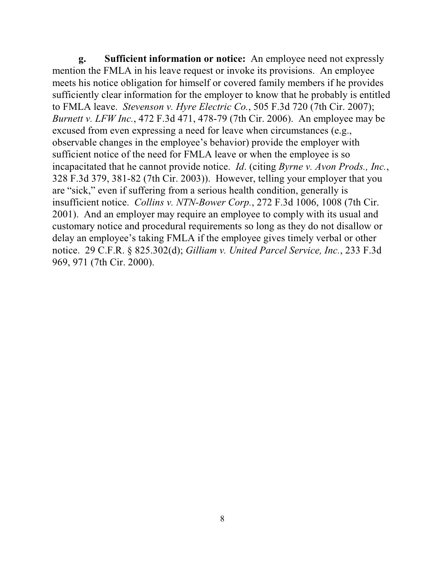**g. Sufficient information or notice:** An employee need not expressly mention the FMLA in his leave request or invoke its provisions. An employee meets his notice obligation for himself or covered family members if he provides sufficiently clear information for the employer to know that he probably is entitled to FMLA leave. *Stevenson v. Hyre Electric Co.*, 505 F.3d 720 (7th Cir. 2007); *Burnett v. LFW Inc.*, 472 F.3d 471, 478-79 (7th Cir. 2006). An employee may be excused from even expressing a need for leave when circumstances (e.g., observable changes in the employee's behavior) provide the employer with sufficient notice of the need for FMLA leave or when the employee is so incapacitated that he cannot provide notice. *Id*. (citing *Byrne v. Avon Prods., Inc.*, 328 F.3d 379, 381-82 (7th Cir. 2003)). However, telling your employer that you are "sick," even if suffering from a serious health condition, generally is insufficient notice. *Collins v. NTN-Bower Corp.*, 272 F.3d 1006, 1008 (7th Cir. 2001). And an employer may require an employee to comply with its usual and customary notice and procedural requirements so long as they do not disallow or delay an employee's taking FMLA if the employee gives timely verbal or other notice. 29 C.F.R. § 825.302(d); *Gilliam v. United Parcel Service, Inc.*, 233 F.3d 969, 971 (7th Cir. 2000).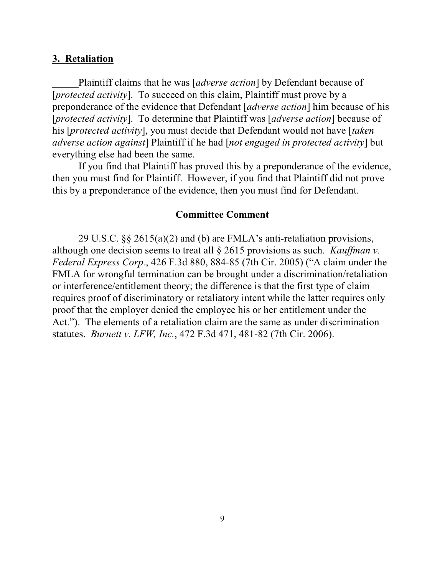#### **3. Retaliation**

Plaintiff claims that he was [*adverse action*] by Defendant because of [*protected activity*]. To succeed on this claim, Plaintiff must prove by a preponderance of the evidence that Defendant [*adverse action*] him because of his [*protected activity*]. To determine that Plaintiff was [*adverse action*] because of his [*protected activity*], you must decide that Defendant would not have [*taken adverse action against*] Plaintiff if he had [*not engaged in protected activity*] but everything else had been the same.

If you find that Plaintiff has proved this by a preponderance of the evidence, then you must find for Plaintiff. However, if you find that Plaintiff did not prove this by a preponderance of the evidence, then you must find for Defendant.

### **Committee Comment**

29 U.S.C. §§ 2615(a)(2) and (b) are FMLA's anti-retaliation provisions, although one decision seems to treat all § 2615 provisions as such. *Kauffman v. Federal Express Corp.*, 426 F.3d 880, 884-85 (7th Cir. 2005) ("A claim under the FMLA for wrongful termination can be brought under a discrimination/retaliation or interference/entitlement theory; the difference is that the first type of claim requires proof of discriminatory or retaliatory intent while the latter requires only proof that the employer denied the employee his or her entitlement under the Act."). The elements of a retaliation claim are the same as under discrimination statutes. *Burnett v. LFW, Inc.*, 472 F.3d 471, 481-82 (7th Cir. 2006).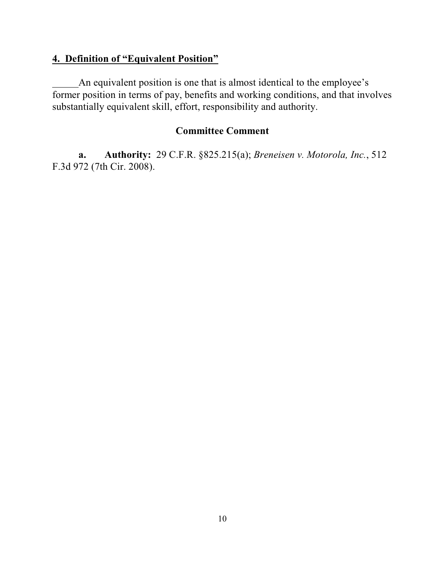### **4. Definition of "Equivalent Position"**

An equivalent position is one that is almost identical to the employee's former position in terms of pay, benefits and working conditions, and that involves substantially equivalent skill, effort, responsibility and authority.

## **Committee Comment**

**a. Authority:** 29 C.F.R. §825.215(a); *Breneisen v. Motorola, Inc.*, 512 F.3d 972 (7th Cir. 2008).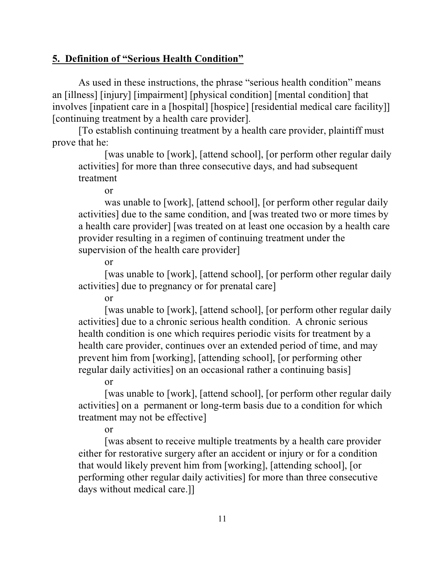## **5. Definition of "Serious Health Condition"**

As used in these instructions, the phrase "serious health condition" means an [illness] [injury] [impairment] [physical condition] [mental condition] that involves [inpatient care in a [hospital] [hospice] [residential medical care facility]] [continuing treatment by a health care provider].

[To establish continuing treatment by a health care provider, plaintiff must prove that he:

[was unable to [work], [attend school], [or perform other regular daily activities] for more than three consecutive days, and had subsequent treatment

or

was unable to [work], [attend school], [or perform other regular daily activities] due to the same condition, and [was treated two or more times by a health care provider] [was treated on at least one occasion by a health care provider resulting in a regimen of continuing treatment under the supervision of the health care provider]

or

[was unable to [work], [attend school], [or perform other regular daily activities] due to pregnancy or for prenatal care]

or

[was unable to [work], [attend school], [or perform other regular daily activities] due to a chronic serious health condition. A chronic serious health condition is one which requires periodic visits for treatment by a health care provider, continues over an extended period of time, and may prevent him from [working], [attending school], [or performing other regular daily activities] on an occasional rather a continuing basis]

or

[was unable to [work], [attend school], [or perform other regular daily activities] on a permanent or long-term basis due to a condition for which treatment may not be effective]

or

[was absent to receive multiple treatments by a health care provider either for restorative surgery after an accident or injury or for a condition that would likely prevent him from [working], [attending school], [or performing other regular daily activities] for more than three consecutive days without medical care.]]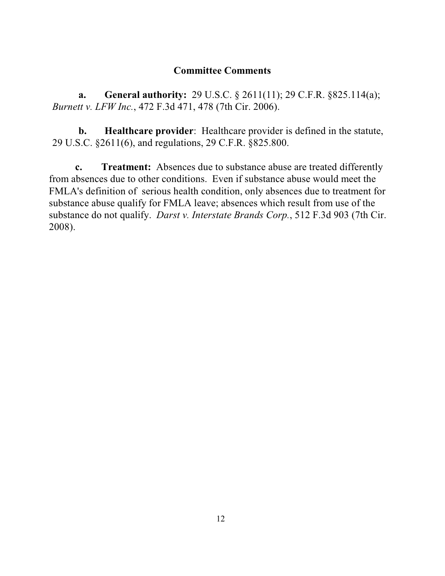### **Committee Comments**

**a. General authority:** 29 U.S.C. § 2611(11); 29 C.F.R. §825.114(a); *Burnett v. LFW Inc.*, 472 F.3d 471, 478 (7th Cir. 2006).

**b. Healthcare provider**: Healthcare provider is defined in the statute, 29 U.S.C. §2611(6), and regulations, 29 C.F.R. §825.800.

**c. Treatment:** Absences due to substance abuse are treated differently from absences due to other conditions. Even if substance abuse would meet the FMLA's definition of serious health condition, only absences due to treatment for substance abuse qualify for FMLA leave; absences which result from use of the substance do not qualify. *Darst v. Interstate Brands Corp.*, 512 F.3d 903 (7th Cir. 2008).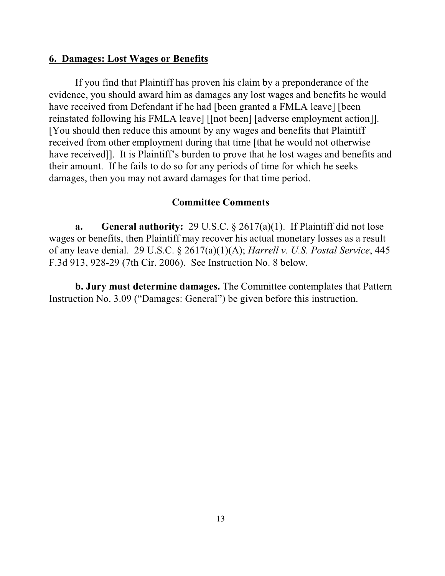#### **6. Damages: Lost Wages or Benefits**

If you find that Plaintiff has proven his claim by a preponderance of the evidence, you should award him as damages any lost wages and benefits he would have received from Defendant if he had [been granted a FMLA leave] [been reinstated following his FMLA leave] [[not been] [adverse employment action]]. [You should then reduce this amount by any wages and benefits that Plaintiff received from other employment during that time [that he would not otherwise have received]. It is Plaintiff's burden to prove that he lost wages and benefits and their amount. If he fails to do so for any periods of time for which he seeks damages, then you may not award damages for that time period.

### **Committee Comments**

**a. General authority:** 29 U.S.C. § 2617(a)(1). If Plaintiff did not lose wages or benefits, then Plaintiff may recover his actual monetary losses as a result of any leave denial. 29 U.S.C. § 2617(a)(1)(A); *Harrell v. U.S. Postal Service*, 445 F.3d 913, 928-29 (7th Cir. 2006). See Instruction No. 8 below.

**b. Jury must determine damages.** The Committee contemplates that Pattern Instruction No. 3.09 ("Damages: General") be given before this instruction.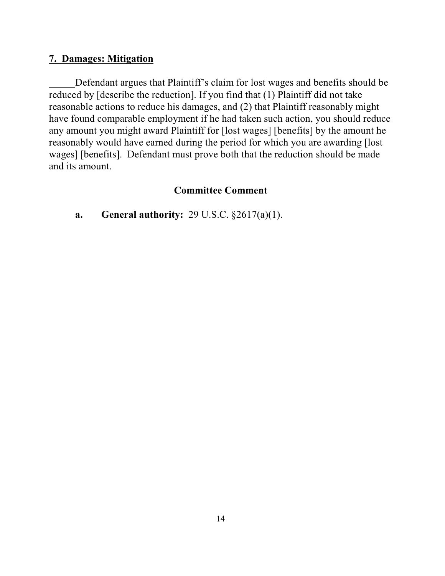### **7. Damages: Mitigation**

Defendant argues that Plaintiff's claim for lost wages and benefits should be reduced by [describe the reduction]. If you find that (1) Plaintiff did not take reasonable actions to reduce his damages, and (2) that Plaintiff reasonably might have found comparable employment if he had taken such action, you should reduce any amount you might award Plaintiff for [lost wages] [benefits] by the amount he reasonably would have earned during the period for which you are awarding [lost wages] [benefits]. Defendant must prove both that the reduction should be made and its amount.

### **Committee Comment**

**a. General authority:** 29 U.S.C. §2617(a)(1).